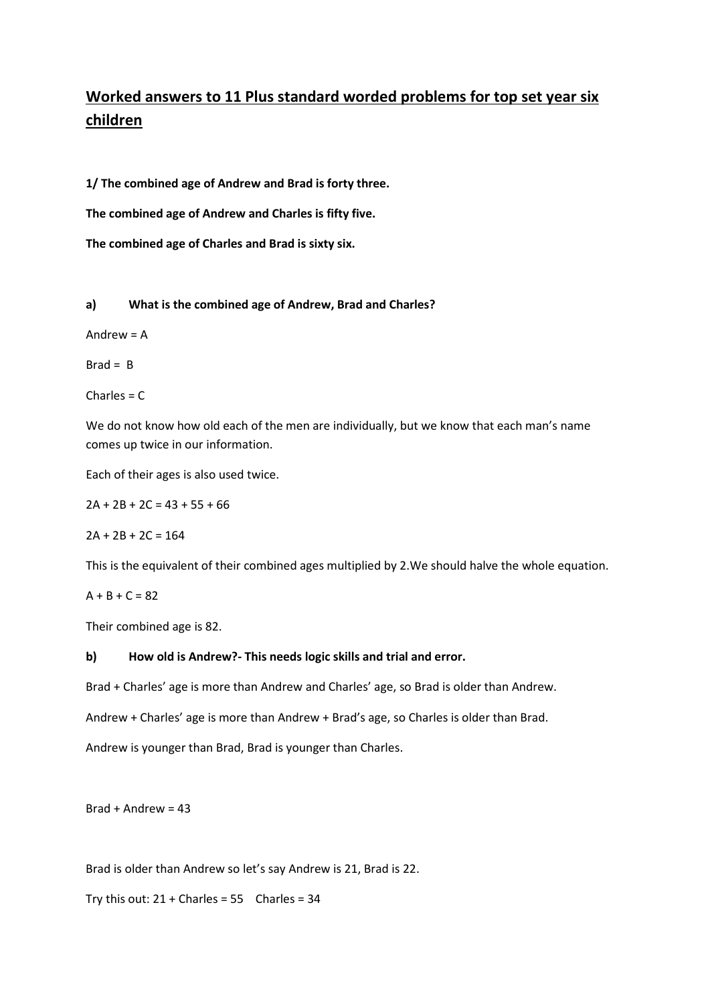## **[Worked answers to 11 Plus standard worded problems for top set year six](http://www.11plusguide.com/)  [children](http://www.11plusguide.com/)**

**1/ The combined age of Andrew and Brad is forty three.**

**The combined age of Andrew and Charles is fifty five.**

**The combined age of Charles and Brad is sixty six.**

**a) What is the combined age of Andrew, Brad and Charles?**

Andrew = A

 $Brad = B$ 

Charles = C

We do not know how old each of the men are individually, but we know that each man's name comes up twice in our information.

Each of their ages is also used twice.

 $2A + 2B + 2C = 43 + 55 + 66$ 

 $2A + 2B + 2C = 164$ 

This is the equivalent of their combined ages multiplied by 2.We should halve the whole equation.

 $A + B + C = 82$ 

Their combined age is 82.

## **b) How old is Andrew?- This needs logic skills and trial and error.**

Brad + Charles' age is more than Andrew and Charles' age, so Brad is older than Andrew.

Andrew + Charles' age is more than Andrew + Brad's age, so Charles is older than Brad.

Andrew is younger than Brad, Brad is younger than Charles.

Brad + Andrew = 43

Brad is older than Andrew so let's say Andrew is 21, Brad is 22.

Try this out:  $21 +$  Charles = 55 Charles = 34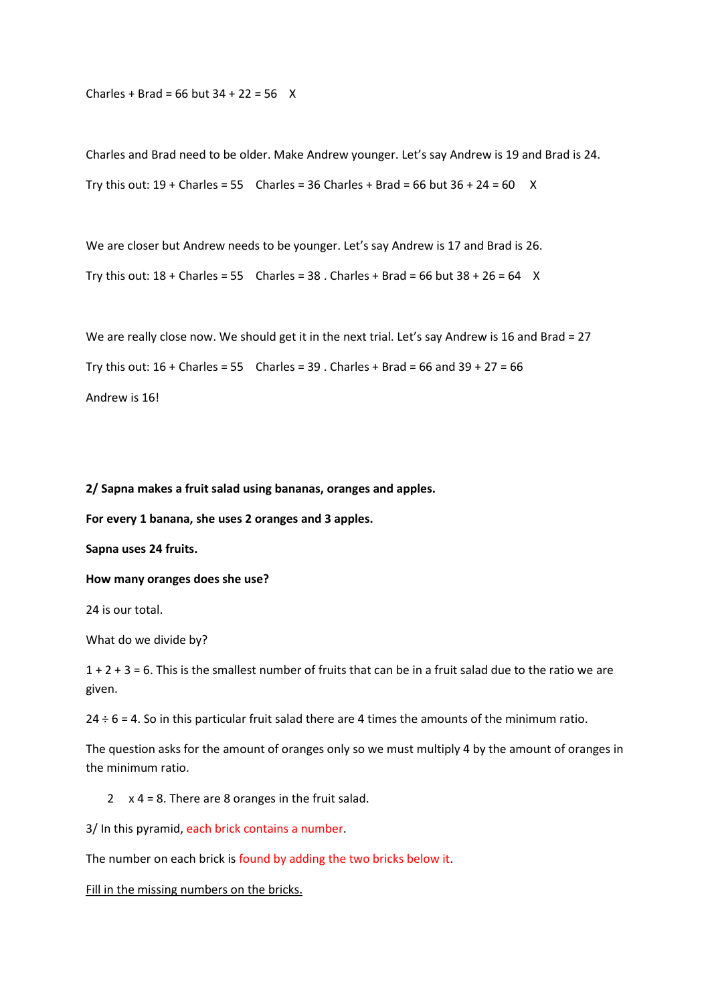Charles + Brad = 66 but  $34 + 22 = 56$  X

Charles and Brad need to be older. Make Andrew younger. Let's say Andrew is 19 and Brad is 24. Try this out:  $19 +$  Charles = 55 Charles = 36 Charles + Brad = 66 but  $36 + 24 = 60$  X

We are closer but Andrew needs to be younger. Let's say Andrew is 17 and Brad is 26.

Try this out:  $18 +$  Charles = 55 Charles = 38 . Charles + Brad = 66 but  $38 + 26 = 64$  X

We are really close now. We should get it in the next trial. Let's say Andrew is 16 and Brad = 27 Try this out:  $16 +$  Charles = 55 Charles = 39 . Charles + Brad = 66 and 39 + 27 = 66 Andrew is 16!

**2/ Sapna makes a fruit salad using bananas, oranges and apples.**

**For every 1 banana, she uses 2 oranges and 3 apples.**

**Sapna uses 24 fruits.**

**How many oranges does she use?**

24 is our total.

What do we divide by?

1 + 2 + 3 = 6. This is the smallest number of fruits that can be in a fruit salad due to the ratio we are given.

 $24 \div 6 = 4$ . So in this particular fruit salad there are 4 times the amounts of the minimum ratio.

The question asks for the amount of oranges only so we must multiply 4 by the amount of oranges in the minimum ratio.

2 x 4 = 8. There are 8 oranges in the fruit salad.

3/ In this pyramid, each brick contains a number.

The number on each brick is found by adding the two bricks below it.

Fill in the missing numbers on the bricks.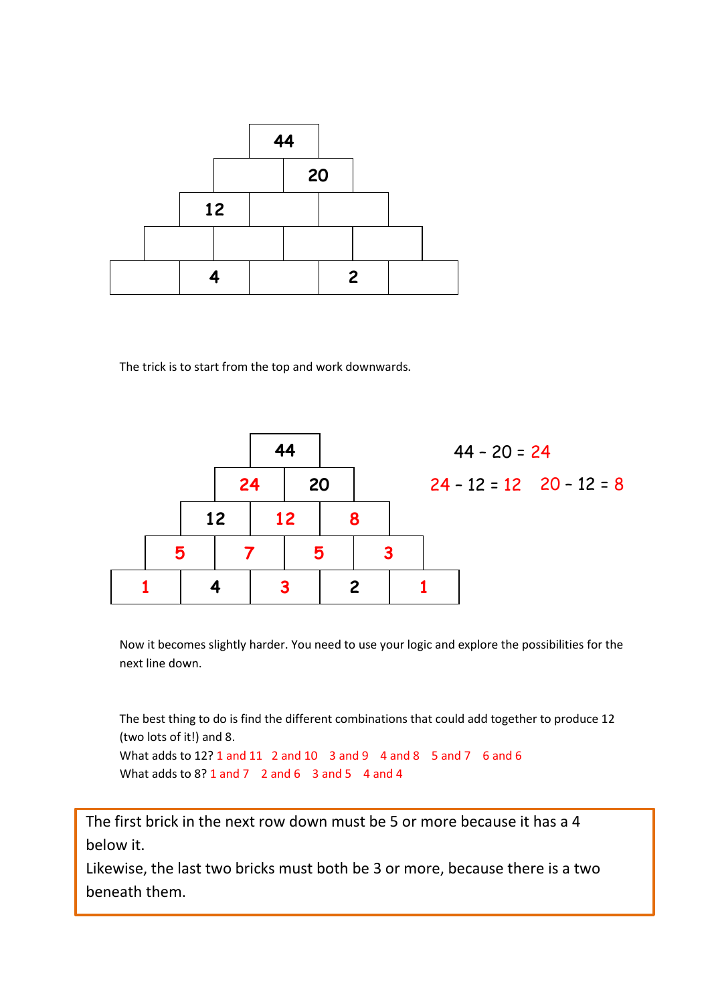

The trick is to start from the top and work downwards.



Now it becomes slightly harder. You need to use your logic and explore the possibilities for the next line down.

The best thing to do is find the different combinations that could add together to produce 12 (two lots of it!) and 8. What adds to 12? 1 and 11 2 and 10 3 and 9 4 and 8 5 and 7 6 and 6 What adds to  $8$ ? 1 and  $7$  2 and  $6$  3 and  $5$  4 and 4

The first brick in the next row down must be 5 or more because it has a 4 below it.

Likewise, the last two bricks must both be 3 or more, because there is a two beneath them.